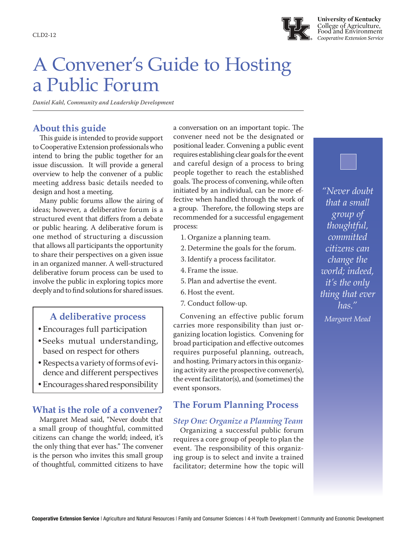

**University of Kentucky** College of Agriculture, Food and Environment *Cooperative Extension Service* CLD2-12

# A Convener's Guide to Hosting a Public Forum

*Daniel Kahl, Community and Leadership Development*

# **About this guide**

This guide is intended to provide support to Cooperative Extension professionals who intend to bring the public together for an issue discussion. It will provide a general overview to help the convener of a public meeting address basic details needed to design and host a meeting.

Many public forums allow the airing of ideas; however, a deliberative forum is a structured event that differs from a debate or public hearing. A deliberative forum is one method of structuring a discussion that allows all participants the opportunity to share their perspectives on a given issue in an organized manner. A well-structured deliberative forum process can be used to involve the public in exploring topics more deeply and to find solutions for shared issues.

- •Encourages full participation
- •Seeks mutual understanding, based on respect for others
- •Respects a variety of forms of evidence and different perspectives
- •Encourages shared responsibility

# **What is the role of a convener?**

Margaret Mead said, "Never doubt that a small group of thoughtful, committed citizens can change the world; indeed, it's the only thing that ever has." The convener is the person who invites this small group of thoughtful, committed citizens to have

a conversation on an important topic. The convener need not be the designated or positional leader. Convening a public event requires establishing clear goals for the event and careful design of a process to bring people together to reach the established goals. The process of convening, while often initiated by an individual, can be more effective when handled through the work of a group. Therefore, the following steps are recommended for a successful engagement process:

- 1. Organize a planning team.
- 2. Determine the goals for the forum.
- 3. Identify a process facilitator.
- 4. Frame the issue.
- 5. Plan and advertise the event.
- 6. Host the event.
- 7. Conduct follow-up.

Convening an effective public forum **A deliberative process** *Margaret Mead* carries more responsibility than just organizing location logistics. Convening for broad participation and effective outcomes requires purposeful planning, outreach, and hosting. Primary actors in this organizing activity are the prospective convener(s), the event facilitator(s), and (sometimes) the event sponsors.

# **The Forum Planning Process**

#### *Step One: Organize a Planning Team*

Organizing a successful public forum requires a core group of people to plan the event. The responsibility of this organizing group is to select and invite a trained facilitator; determine how the topic will

*"Never doubt that a small group of thoughtful, committed citizens can change the world; indeed, it's the only thing that ever has."*

Cooperative Extension Service | Agriculture and Natural Resources | Family and Consumer Sciences | 4-H Youth Development | Community and Economic Development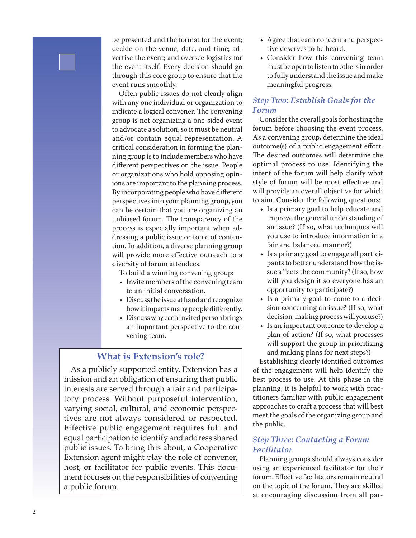be presented and the format for the event; decide on the venue, date, and time; advertise the event; and oversee logistics for the event itself. Every decision should go through this core group to ensure that the event runs smoothly.

Often public issues do not clearly align with any one individual or organization to indicate a logical convener. The convening group is not organizing a one-sided event to advocate a solution, so it must be neutral and/or contain equal representation. A critical consideration in forming the planning group is to include members who have different perspectives on the issue. People or organizations who hold opposing opinions are important to the planning process. By incorporating people who have different perspectives into your planning group, you can be certain that you are organizing an unbiased forum. The transparency of the process is especially important when addressing a public issue or topic of contention. In addition, a diverse planning group will provide more effective outreach to a diversity of forum attendees.

To build a winning convening group:

- Invite members of the convening team to an initial conversation.
- Discuss the issue at hand and recognize how it impacts many people differently.
- Discuss why each invited person brings an important perspective to the convening team.

# **What is Extension's role?**

As a publicly supported entity, Extension has a mission and an obligation of ensuring that public interests are served through a fair and participatory process. Without purposeful intervention, varying social, cultural, and economic perspectives are not always considered or respected. Effective public engagement requires full and equal participation to identify and address shared public issues. To bring this about, a Cooperative Extension agent might play the role of convener, host, or facilitator for public events. This document focuses on the responsibilities of convening a public forum.

- Agree that each concern and perspective deserves to be heard.
- Consider how this convening team must be open to listen to others in order to fully understand the issue and make meaningful progress.

# *Step Two: Establish Goals for the Forum*

Consider the overall goals for hosting the forum before choosing the event process. As a convening group, determine the ideal outcome(s) of a public engagement effort. The desired outcomes will determine the optimal process to use. Identifying the intent of the forum will help clarify what style of forum will be most effective and will provide an overall objective for which to aim. Consider the following questions:

- Is a primary goal to help educate and improve the general understanding of an issue? (If so, what techniques will you use to introduce information in a fair and balanced manner?)
- Is a primary goal to engage all participants to better understand how the issue affects the community? (If so, how will you design it so everyone has an opportunity to participate?)
- Is a primary goal to come to a decision concerning an issue? (If so, what decision-making process will you use?)
- Is an important outcome to develop a plan of action? (If so, what processes will support the group in prioritizing and making plans for next steps?)

Establishing clearly identified outcomes of the engagement will help identify the best process to use. At this phase in the planning, it is helpful to work with practitioners familiar with public engagement approaches to craft a process that will best meet the goals of the organizing group and the public.

# *Step Three: Contacting a Forum Facilitator*

Planning groups should always consider using an experienced facilitator for their forum. Effective facilitators remain neutral on the topic of the forum. They are skilled at encouraging discussion from all par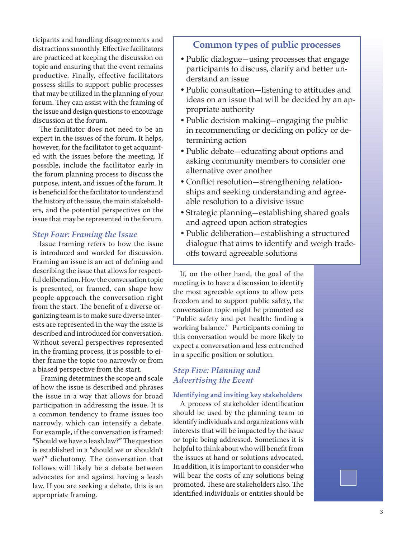ticipants and handling disagreements and distractions smoothly. Effective facilitators are practiced at keeping the discussion on topic and ensuring that the event remains productive. Finally, effective facilitators possess skills to support public processes that may be utilized in the planning of your forum. They can assist with the framing of the issue and design questions to encourage discussion at the forum.

The facilitator does not need to be an expert in the issues of the forum. It helps, however, for the facilitator to get acquainted with the issues before the meeting. If possible, include the facilitator early in the forum planning process to discuss the purpose, intent, and issues of the forum. It is beneficial for the facilitator to understand the history of the issue, the main stakeholders, and the potential perspectives on the issue that may be represented in the forum.

#### *Step Four: Framing the Issue*

Issue framing refers to how the issue is introduced and worded for discussion. Framing an issue is an act of defining and describing the issue that allows for respectful deliberation. How the conversation topic is presented, or framed, can shape how people approach the conversation right from the start. The benefit of a diverse organizing team is to make sure diverse interests are represented in the way the issue is described and introduced for conversation. Without several perspectives represented in the framing process, it is possible to either frame the topic too narrowly or from a biased perspective from the start.

 Framing determines the scope and scale of how the issue is described and phrases the issue in a way that allows for broad participation in addressing the issue. It is a common tendency to frame issues too narrowly, which can intensify a debate. For example, if the conversation is framed: "Should we have a leash law?" The question is established in a "should we or shouldn't we?" dichotomy. The conversation that follows will likely be a debate between advocates for and against having a leash law. If you are seeking a debate, this is an appropriate framing.

# **Common types of public processes**

- •Public dialogue—using processes that engage participants to discuss, clarify and better understand an issue
- •Public consultation—listening to attitudes and ideas on an issue that will be decided by an appropriate authority
- •Public decision making—engaging the public in recommending or deciding on policy or determining action
- •Public debate—educating about options and asking community members to consider one alternative over another
- Conflict resolution—strengthening relationships and seeking understanding and agreeable resolution to a divisive issue
- •Strategic planning—establishing shared goals and agreed upon action strategies
- •Public deliberation—establishing a structured dialogue that aims to identify and weigh tradeoffs toward agreeable solutions

If, on the other hand, the goal of the meeting is to have a discussion to identify the most agreeable options to allow pets freedom and to support public safety, the conversation topic might be promoted as: "Public safety and pet health: finding a working balance." Participants coming to this conversation would be more likely to expect a conversation and less entrenched in a specific position or solution.

# *Step Five: Planning and Advertising the Event*

#### **Identifying and inviting key stakeholders**

A process of stakeholder identification should be used by the planning team to identify individuals and organizations with interests that will be impacted by the issue or topic being addressed. Sometimes it is helpful to think about who will benefit from the issues at hand or solutions advocated. In addition, it is important to consider who will bear the costs of any solutions being promoted. These are stakeholders also. The identified individuals or entities should be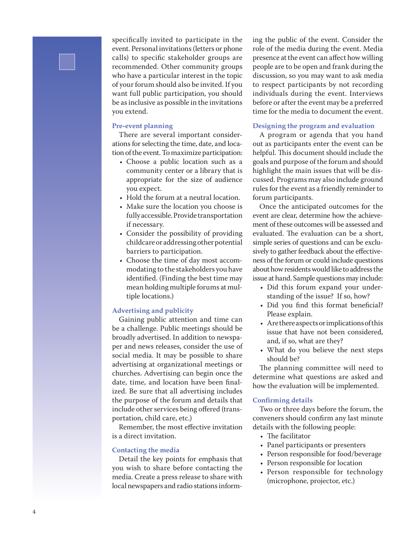specifically invited to participate in the event. Personal invitations (letters or phone calls) to specific stakeholder groups are recommended. Other community groups who have a particular interest in the topic of your forum should also be invited. If you want full public participation, you should be as inclusive as possible in the invitations you extend.

#### **Pre-event planning**

There are several important consider ations for selecting the time, date, and loca tion of the event. To maximize participation:

- Choose a public location such as a community center or a library that is appropriate for the size of audience you expect.
- Hold the forum at a neutral location.
- Make sure the location you choose is fully accessible. Provide transportation if necessary.
- Consider the possibility of providing childcare or addressing other potential barriers to participation.
- Choose the time of day most accom modating to the stakeholders you have identified. (Finding the best time may mean holding multiple forums at mul tiple locations.)

## **Advertising and publicity**

Gaining public attention and time can be a challenge. Public meetings should be broadly advertised. In addition to newspa per and news releases, consider the use of social media. It may be possible to share advertising at organizational meetings or churches. Advertising can begin once the date, time, and location have been final ized. Be sure that all advertising includes the purpose of the forum and details that include other services being offered (trans portation, child care, etc.)

Remember, the most effective invitation is a direct invitation.

#### **Contacting the media**

Detail the key points for emphasis that you wish to share before contacting the media. Create a press release to share with local newspapers and radio stations inform -

ing the public of the event. Consider the role of the media during the event. Media presence at the event can affect how willing people are to be open and frank during the discussion, so you may want to ask media to respect participants by not recording individuals during the event. Interviews before or after the event may be a preferred time for the media to document the event.

#### **Designing the program and evaluation**

A program or agenda that you hand out as participants enter the event can be helpful. This document should include the goals and purpose of the forum and should highlight the main issues that will be dis cussed. Programs may also include ground rules for the event as a friendly reminder to forum participants.

Once the anticipated outcomes for the event are clear, determine how the achieve ment of these outcomes will be assessed and evaluated. The evaluation can be a short, simple series of questions and can be exclu sively to gather feedback about the effective ness of the forum or could include questions about how residents would like to address the issue at hand. Sample questions may include:

- Did this forum expand your understanding of the issue? If so, how?
- Did you find this format beneficial? Please explain.
- Are there aspects or implications of this issue that have not been considered, and, if so, what are they?
- What do you believe the next steps should be?

The planning committee will need to determine what questions are asked and how the evaluation will be implemented.

#### **Confirming details**

Two or three days before the forum, the conveners should confirm any last minute details with the following people:

- 
- The facilitator<br>• Panel participants or presenters
- Person responsible for food/beverage
- Person responsible for location
- Person responsible for technology (microphone, projector, etc.)